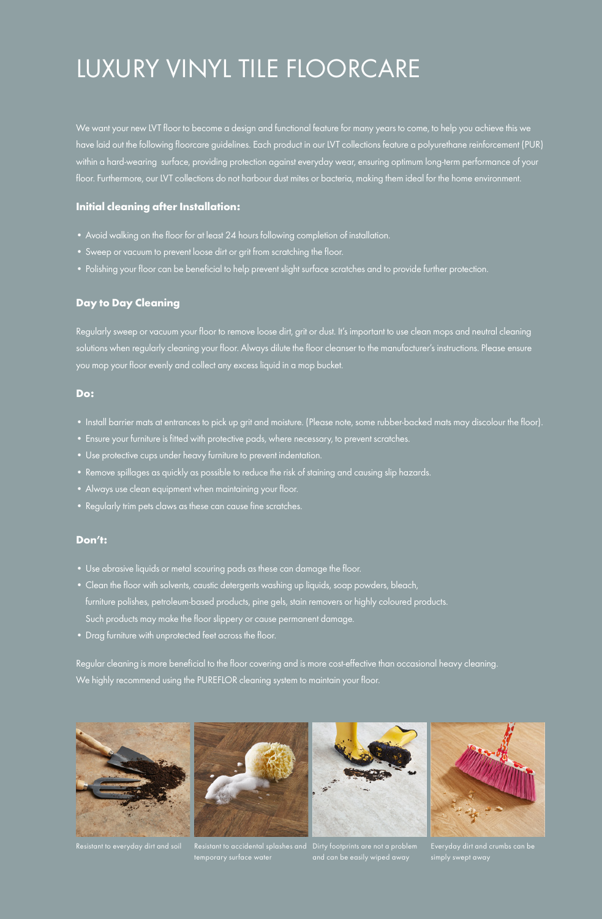## LUXURY VINYL TILE FLOORCARE

We want your new LVT floor to become a design and functional feature for many years to come, to help you achieve this we have laid out the following floorcare guidelines. Each product in our LVT collections feature a polyurethane reinforcement (PUR) within a hard-wearing surface, providing protection against everyday wear, ensuring optimum long-term performance of your floor. Furthermore, our LVT collections do not harbour dust mites or bacteria, making them ideal for the home environment.

#### **Initial cleaning after Installation:**

- Avoid walking on the floor for at least 24 hours following completion of installation.
- Sweep or vacuum to prevent loose dirt or grit from scratching the floor.
- Polishing your floor can be beneficial to help prevent slight surface scratches and to provide further protection.

## **Day to Day Cleaning**

Regularly sweep or vacuum your floor to remove loose dirt, grit or dust. It's important to use clean mops and neutral cleaning solutions when regularly cleaning your floor. Always dilute the floor cleanser to the manufacturer's instructions. Please ensure you mop your floor evenly and collect any excess liquid in a mop bucket.

### **Do:**

- Install barrier mats at entrances to pick up grit and moisture. (Please note, some rubber-backed mats may discolour the floor).
- Ensure your furniture is fitted with protective pads, where necessary, to prevent scratches.
- Use protective cups under heavy furniture to prevent indentation.
- Remove spillages as quickly as possible to reduce the risk of staining and causing slip hazards.
- Always use clean equipment when maintaining your floor.
- Regularly trim pets claws as these can cause fine scratches.

#### **Don't:**

- Use abrasive liquids or metal scouring pads as these can damage the floor.
- Clean the floor with solvents, caustic detergents washing up liquids, soap powders, bleach, furniture polishes, petroleum-based products, pine gels, stain removers or highly coloured products. Such products may make the floor slippery or cause permanent damage.
- Drag furniture with unprotected feet across the floor.

Regular cleaning is more beneficial to the floor covering and is more cost-effective than occasional heavy cleaning. We highly recommend using the PUREFLOR cleaning system to maintain your floor.







Resistant to everyday dirt and soil Resistant to accidental splashes and Dirty footprints are not a problem

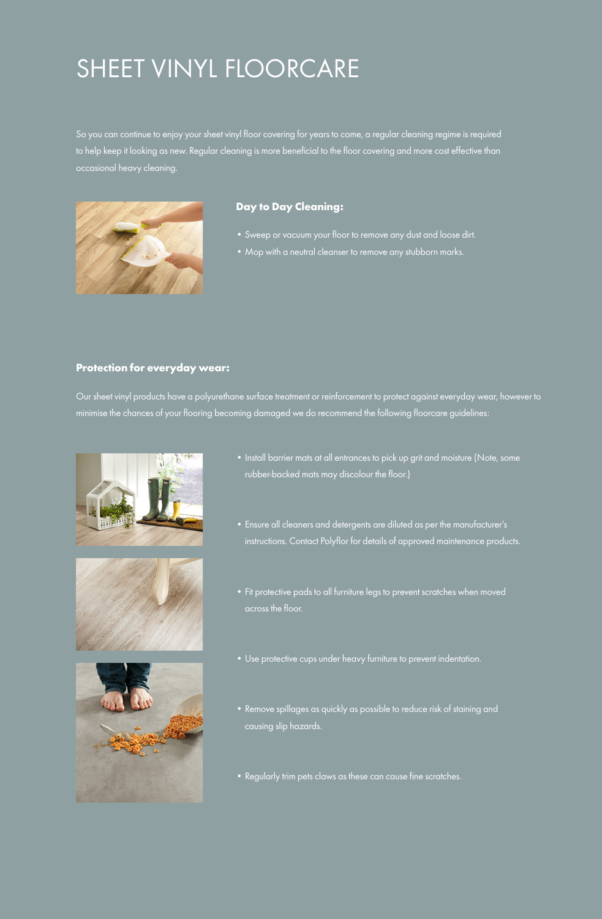# SHEET VINYL FLOORCARE

So you can continue to enjoy your sheet vinyl floor covering for years to come, a regular cleaning regime is required to help keep it looking as new. Regular cleaning is more beneficial to the floor covering and more cost effective than occasional heavy cleaning.



## **Day to Day Cleaning:**

- Sweep or vacuum your floor to remove any dust and loose dirt.
- Mop with a neutral cleanser to remove any stubborn marks.

#### **Protection for everyday wear:**

Our sheet vinyl products have a polyurethane surface treatment or reinforcement to protect against everyday wear, however to minimise the chances of your flooring becoming damaged we do recommend the following floorcare guidelines:







- Install barrier mats at all entrances to pick up grit and moisture (Note, some rubber-backed mats may discolour the floor.)
- Ensure all cleaners and detergents are diluted as per the manufacturer's instructions. Contact Polyflor for details of approved maintenance products.
- Fit protective pads to all furniture legs to prevent scratches when moved across the floor.
- Use protective cups under heavy furniture to prevent indentation.
- Remove spillages as quickly as possible to reduce risk of staining and causing slip hazards.
- Regularly trim pets claws as these can cause fine scratches.